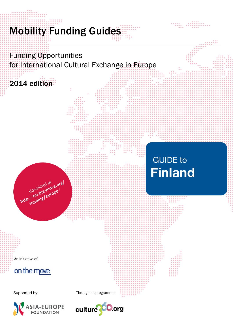# **Mobility Funding Guides**

Funding Opportunities for International Cultural Exchange in Europe

2014 edition

 GUIDE to **Finland**

An initiative of:

on the move

download at<br>download at<br>http://on-the-move/

Supported by: Through its programme:



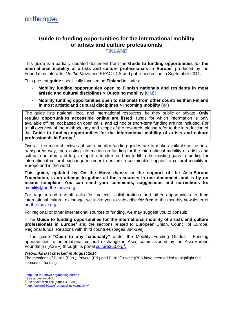# **Guide to funding opportunities for the international mobility of artists and culture professionals**

**FINLAND**

This guide is a partially updated document from the **Guide to funding opportunities for the**  international mobility of artists and culture professionals in Europe<sup>1</sup> produced by the Foundation Interarts, *On the Move* and PRACTICS and published online in September 2011.

This present **guide** specifically focused on **Finland** includes:

- **Mobility funding opportunities open to Finnish nationals and residents in most artistic and cultural disciplines > Outgoing mobility (OM);**
- **Mobility funding opportunities open to nationals from other countries than Finland in most artistic and cultural disciplines > Incoming mobility (IM)**

The guide lists national, local and international resources, be they public or private. **Only regular opportunities accessible online are listed**; funds for which information is only available offline, not based on open calls, and ad hoc or short-term funding are not included. For a full overview of the methodology and scope of the research, please refer to the introduction of the **Guide to funding opportunities for the international mobility of artists and culture professionals in Europe<sup>2</sup> .**

Overall, the main objectives of such mobility funding guides are to make available online, in a transparent way, the existing information on funding for the international mobility of artists and cultural operators and to give input to funders on how to fill in the existing gaps in funding for international cultural exchange in order to ensure a sustainable support to cultural mobility in Europe and in the world.

**This guide, updated by On the Move thanks to the support of the Asia-Europe Foundation, is an attempt to gather all the resources in one document, and is by no means complete**. **You can send your comments, suggestions and corrections to:**  mobility@on-the-move.org

For regular and one-off calls for projects, collaborations and other opportunities to fund international cultural exchange, we invite you to subscribe **for free** to the monthly newsletter of on-the-move.org.

For regional or other international sources of funding, we may suggest you to consult:

- The **Guide to funding opportunities for the international mobility of artists and culture professionals in Europe<sup>3</sup>** and the sections related to European Union, Council of Europe, Regional funds, Relations with third countries (pages 384-399).

- The guide **"Open to any nationality"** under the Mobility Funding Guides - Funding opportunities for international cultural exchange in Asia, commissioned by the Asia-Europe Foundation (ASEF) through its portal culture360.org<sup>4</sup>.

# *Web-links last checked in August 2014*

The mentions of Public (Pub.), Private (Pri.) and Public/Private (PP.) have been added to highlight the sources of funding.

 $\overline{a}$ 1 http://on-the-move.org/funding/europe

<sup>2</sup> See above web-link.

 $3$  See above web-link (pages 383-389)

<sup>4</sup> http://culture360.asef.org/asef-news/mobility/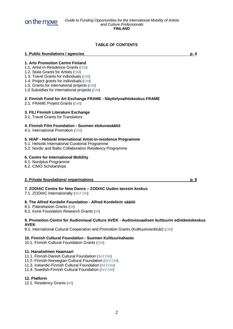

# **TABLE OF CONTENTS**

**1. Arts Promotion Centre Finland**

- 1.1. Artist-in-Residence Grants (OM)
- 1.2. State Grants for Artists (OM)
- 1.3. Travel Grants for individuals (OM)
- 1.4. Project grants for individuals (OM)
- 1.5. Grants for international projects (OM)
- 1.6 Subsidies for international projects (OM)

# **2. Finnish Fund for Art Exchange FRAME - Näyttelyvaihtokeskus FRAME**

2.1. FRAME Project Grants (OM)

# **3. FILI Finnish Literature Exchange**

3.1. Travel Grants for Translators

# **4. Finnish Film Foundation - Suomen elokuvasäätiö**

4.1. International Promotion (OM)

# **5. HIAP - Helsinki International Artist-in-residence Programme**

- 5.1. Helsinki International Curatorial Programme
- 5.2. Nordic and Baltic Collaboration Residency Programme

# **6. Centre for International Mobility**

- 6.1. Nordplus Programme
- 6.2. CIMO Scholarships

# **2. Private foundations/ organisations p. 9**

**7. ZODIAC Centre for New Dance – ZODIAC Uuden tanssin keskus**

7.1. ZODIAC Internationally (IM / OM)

# **8. The Alfred Kordelin Foundation - Alfred Kordelinin säätiö**

- 8.1. Päärahaston Grants (IM)
- 8.2. Kone Foundation Research Grants (IM)

#### **9. Promotion Centre for Audiovisual Culture AVEK - Audiovisuaalisen kulttuurin edistämiskeskus AVEK**

9.1. International Cultural Cooperation and Promotion Grants (Kulttuurivientituki) (OM)

# **10. Finnish Cultural Foundation - Suomen Kulttuurirahasto**

10.1. Finnish Cultural Foundation Grants (OM)

# **11. Hanaholmen Haamsari**

- 11.1. Finnish-Danish Cultural Foundation (IM / OM)
- 11.2. Finnish-Norwegian Cultural Foundation (IM / OM)

11.3. Icelandic-Finnish Cultural Foundation (IM / OM)

11.4. Swedish-Finnish Cultural Foundation (IM / OM)

# **12. Platform**

12.1. Residency Grants (IM)

**1. Public foundations / agencies p. 4**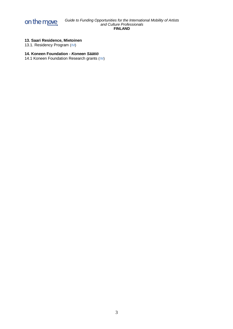

# **13. Saari Residence, Mietoinen**

13.1. Residency Program (IM)

# **14. Koneen Foundation -** *Koneen Säätiö*

14.1 Koneen Foundation Research grants (IM)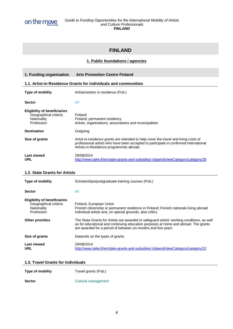

# **FINLAND**

# **1. Public foundations / agencies**

| 1. Funding organisation                                                                   | <b>Arts Promotion Centre Finland</b>                                                                                                                                                                                     |
|-------------------------------------------------------------------------------------------|--------------------------------------------------------------------------------------------------------------------------------------------------------------------------------------------------------------------------|
|                                                                                           | 1.1. Artist-in-Residence Grants for individuals and communities                                                                                                                                                          |
| Type of mobility                                                                          | Artists/writers in residence (Pub.)                                                                                                                                                                                      |
| <b>Sector</b>                                                                             | All                                                                                                                                                                                                                      |
| <b>Eligibility of beneficiaries</b><br>Geographical criteria<br>Nationality<br>Profession | Finland<br>Finland; permanent residency<br>Artists, organisations, associations and municipalities                                                                                                                       |
| <b>Destination</b>                                                                        | Outgoing                                                                                                                                                                                                                 |
| Size of grants                                                                            | Artist-in-residence grants are intended to help cover the travel and living costs of<br>professional artists who have been accepted to participate in confirmed international<br>Artists-in-Residence programmes abroad. |
| Last viewed<br>URL                                                                        | 29/08/2014<br>http://www.taike.fi/en/state-grants-and-subsidies/-/stipend/viewCategory/category/28                                                                                                                       |

# **1.2. State Grants for Artists**

| <b>Type of mobility</b>                                                                   | Scholarships/postgraduate training courses (Pub.)                                                                                                                                                                                                  |
|-------------------------------------------------------------------------------------------|----------------------------------------------------------------------------------------------------------------------------------------------------------------------------------------------------------------------------------------------------|
| <b>Sector</b>                                                                             | All                                                                                                                                                                                                                                                |
| <b>Eligibility of beneficiaries</b><br>Geographical criteria<br>Nationality<br>Profession | Finland, European Union<br>Finnish citizenship or permanent residence in Finland: Finnish nationals living abroad<br>Individual artists and, on special grounds, also critics                                                                      |
| <b>Other priorities</b>                                                                   | The State Grants for Artists are awarded to safeguard artists' working conditions, as well<br>as for educational and continuing education purposes at home and abroad. The grants<br>are awarded for a period of between six months and five years |
| Size of grants                                                                            | Depends on the types of grants                                                                                                                                                                                                                     |
| Last viewed<br><b>URL</b>                                                                 | 29/08/2014<br>http://www.taike.fi/en/state-grants-and-subsidies/-/stipend/viewCategory/category/22                                                                                                                                                 |

# **1.3. Travel Grants for individuals**

| <b>Type of mobility</b> | Travel grants (Pub.) |
|-------------------------|----------------------|
| <b>Sector</b>           | Cultural management  |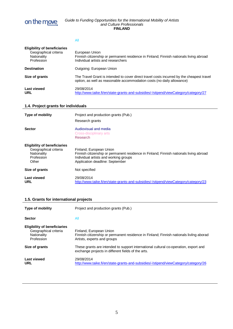

All

| <b>Eligibility of beneficiaries</b><br>Geographical criteria<br>Nationality<br>Profession | European Union<br>Finnish citizenship or permanent residence in Finland; Finnish nationals living abroad<br>Individual artists and researchers                      |
|-------------------------------------------------------------------------------------------|---------------------------------------------------------------------------------------------------------------------------------------------------------------------|
| <b>Destination</b>                                                                        | Outgoing: European Union                                                                                                                                            |
| Size of grants                                                                            | The Travel Grant is intended to cover direct travel costs incurred by the cheapest travel<br>option, as well as reasonable accommodation costs (no daily allowance) |
| Last viewed<br>URL                                                                        | 29/08/2014<br>http://www.taike.fi/en/state-grants-and-subsidies/-/stipend/viewCategory/category/27                                                                  |

# **1.4. Project grants for individuals**

| <b>Type of mobility</b>                                                                            | Project and production grants (Pub.)<br>Research grants                                                                                                                                       |
|----------------------------------------------------------------------------------------------------|-----------------------------------------------------------------------------------------------------------------------------------------------------------------------------------------------|
| <b>Sector</b>                                                                                      | Audiovisual and media<br>Cross-disciplinary arts<br>Research                                                                                                                                  |
| <b>Eligibility of beneficiaries</b><br>Geographical criteria<br>Nationality<br>Profession<br>Other | Finland; European Union<br>Finnish citizenship or permanent residence in Finland; Finnish nationals living abroad<br>Individual artists and working groups<br>Application deadline: September |
| Size of grants                                                                                     | Not specified                                                                                                                                                                                 |
| <b>Last viewed</b><br>URL                                                                          | 29/08/2014<br>http://www.taike.fi/en/state-grants-and-subsidies/-/stipend/viewCategory/category/23                                                                                            |

# **1.5. Grants for international projects**

| <b>Type of mobility</b>                                                                   | Project and production grants (Pub.)                                                                                                              |
|-------------------------------------------------------------------------------------------|---------------------------------------------------------------------------------------------------------------------------------------------------|
| <b>Sector</b>                                                                             | All                                                                                                                                               |
| <b>Eligibility of beneficiaries</b><br>Geographical criteria<br>Nationality<br>Profession | Finland, European Union<br>Finnish citizenship or permanent residence in Finland; Finnish nationals livilng aborad<br>Artists, experts and groups |
| Size of grants                                                                            | These grants are intended to support international cultural co-operation, export and<br>exchange projects in different fields of the arts.        |
| <b>Last viewed</b><br><b>URL</b>                                                          | 29/08/2014<br>http://www.taike.fi/en/state-grants-and-subsidies/-/stipend/viewCategory/category/26                                                |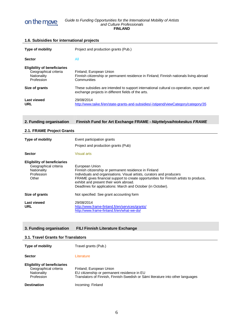

| 1.6. Subisidies for international projects                                                         |                                                                                                                                                                                                                                                                                                                                                    |
|----------------------------------------------------------------------------------------------------|----------------------------------------------------------------------------------------------------------------------------------------------------------------------------------------------------------------------------------------------------------------------------------------------------------------------------------------------------|
| Type of mobility                                                                                   | Project and production grants (Pub.)                                                                                                                                                                                                                                                                                                               |
| <b>Sector</b>                                                                                      | All                                                                                                                                                                                                                                                                                                                                                |
| <b>Eligibility of beneficiaries</b><br>Geographical criteria<br>Nationality<br>Profession          | Finland; European Union<br>Finnish citizenship or permanent residence in Finland; Finnish nationals living abroad<br>Communities                                                                                                                                                                                                                   |
| Size of grants                                                                                     | These subsidies are intended to support international cultural co-operation, export and<br>exchange projects in different fields of the arts.                                                                                                                                                                                                      |
| <b>Last viewed</b><br><b>URL</b>                                                                   | 29/08/2014<br>http://www.taike.fi/en/state-grants-and-subsidies/-/stipend/viewCategory/category/35                                                                                                                                                                                                                                                 |
| 2. Funding organisation                                                                            | Finnish Fund for Art Exchange FRAME - Näyttelyvaihtokeskus FRAME                                                                                                                                                                                                                                                                                   |
| 2.1. FRAME Project Grants                                                                          |                                                                                                                                                                                                                                                                                                                                                    |
| Type of mobility                                                                                   | Event participation grants<br>Project and production grants (Pub)                                                                                                                                                                                                                                                                                  |
| <b>Sector</b>                                                                                      | <b>Visual arts</b>                                                                                                                                                                                                                                                                                                                                 |
| <b>Eligibility of beneficiaries</b><br>Geographical criteria<br>Nationality<br>Profession<br>Other | European Union<br>Finnish citizenship or permanent residence in Finland<br>Individuals and organisations. Visual artists, curators and producers<br>FRAME gives financial support to create opportunities for Finnish artists to produce,<br>exhibit and present their work abroad.<br>Deadlines for applications: March and October (in October). |
| Size of grants                                                                                     | Not specified: See grant accounting form                                                                                                                                                                                                                                                                                                           |
| <b>Last viewed</b><br><b>URL</b>                                                                   | 29/08/2014<br>http://www.frame-finland.fi/en/services/grants/<br>http://www.frame-finland.fi/en/what-we-do/                                                                                                                                                                                                                                        |

# **3. Funding organisation FILI Finnish Literature Exchange**

# **3.1. Travel Grants for Translators**

| <b>Type of mobility</b>                                                                   | Travel grants (Pub.)                                                                                                                                      |
|-------------------------------------------------------------------------------------------|-----------------------------------------------------------------------------------------------------------------------------------------------------------|
| <b>Sector</b>                                                                             | Literature                                                                                                                                                |
| <b>Eligibility of beneficiaries</b><br>Geographical criteria<br>Nationality<br>Profession | Finland; European Union<br>EU citizenship or permanent residence in EU<br>Translators of Finnish, Finnish-Swedish or Sámi literature into other languages |
| <b>Destination</b>                                                                        | Incoming: Finland                                                                                                                                         |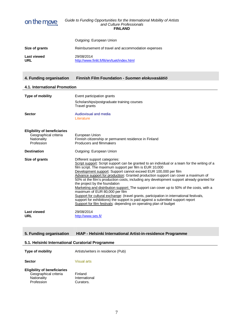

|                           | Outgoing: European Union                                   |
|---------------------------|------------------------------------------------------------|
| Size of grants            | Reimbursement of travel and accommodation expenses         |
| <b>Last viewed</b><br>URL | 29/08/2014<br>http://www.finlit.fi/fili/en/tuet/index.html |

# **4. Funding organisation Finnish Film Foundation -** *Suomen elokuvasäätiö*

# **4.1. International Promotion**

| Type of mobility<br><b>Sector</b>                                                                               | Event participation grants<br>Scholarships/postgraduate training courses<br>Travel grants<br>Audiovisual and media<br>Literature                                                                                                                                                                                                                                                                                                                                                                                                                                                                                                                                                                                                                                                                                                                                  |
|-----------------------------------------------------------------------------------------------------------------|-------------------------------------------------------------------------------------------------------------------------------------------------------------------------------------------------------------------------------------------------------------------------------------------------------------------------------------------------------------------------------------------------------------------------------------------------------------------------------------------------------------------------------------------------------------------------------------------------------------------------------------------------------------------------------------------------------------------------------------------------------------------------------------------------------------------------------------------------------------------|
| <b>Eligibility of beneficiaries</b><br>Geographical criteria<br>Nationality<br>Profession<br><b>Destination</b> | European Union<br>Finnish citizenship or permanent residence in Finland<br>Producers and filmmakers<br>Outgoing: European Union                                                                                                                                                                                                                                                                                                                                                                                                                                                                                                                                                                                                                                                                                                                                   |
| Size of grants                                                                                                  | Different support categories:<br>Script support: Script support can be granted to an individual or a team for the writing of a<br>film script. The maximum support per film is EUR 10,000<br>Development support: Support cannot exceed EUR 100,000 per film<br>Advance support for production: Granted production support can cover a maximum of<br>50% ot the film's production costs, including any development support already granted for<br>the project by the foundation<br>Marketing and distribution support: The support can cover up to 50% of the costs, with a<br>maximum of EUR 80,000 per film<br>Support for cultural exchange: (travel grants, participation in international festivals,<br>support for exhibitions) the support is paid against a submitted support report<br>Support for film festivals: depending on operating plan of budget |
| <b>Last viewed</b><br>URL                                                                                       | 29/08/2014<br>http://www.ses.fi/                                                                                                                                                                                                                                                                                                                                                                                                                                                                                                                                                                                                                                                                                                                                                                                                                                  |

# **5. Funding organisation HIAP - Helsinki International Artist-in-residence Programme**

# **5.1. Helsinki International Curatorial Programme**

| <b>Type of mobility</b>                                                                   | Artists/writers in residence (Pub)    |
|-------------------------------------------------------------------------------------------|---------------------------------------|
| <b>Sector</b>                                                                             | Visual arts                           |
| <b>Eligibility of beneficiaries</b><br>Geographical criteria<br>Nationality<br>Profession | Finland<br>International<br>Curators. |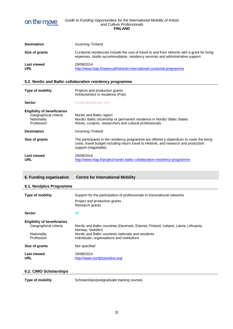

| <b>Destination</b>               | Incoming: Finland                                                                                                                                                               |
|----------------------------------|---------------------------------------------------------------------------------------------------------------------------------------------------------------------------------|
| Size of grants                   | Curatorial residencies include the cost of travel to and from Helsinki with a grant for living<br>expenses, studio accommodation, residency services and administrative support |
| <b>Last viewed</b><br><b>URL</b> | 29/08/2014<br>http://www.hiap.fi/opencall/helsinki-international-curatorial-programme                                                                                           |

# **5.2. Nordic and Baltic collaboration residency programme**

| <b>Type of mobility</b>                                                                   | Projects and production grants<br>Artists/writers in residence (Pub)                                                                                                                                       |
|-------------------------------------------------------------------------------------------|------------------------------------------------------------------------------------------------------------------------------------------------------------------------------------------------------------|
| <b>Sector</b>                                                                             | Cross-disciplinary arts                                                                                                                                                                                    |
| <b>Eligibility of beneficiaries</b><br>Geographical criteria<br>Nationality<br>Profession | Nordic and Baltic region<br>Nordic/Baltic citizenship or permanent residence in Nordic/Baltic States<br>Artists, curators, researchers and cultural professionals                                          |
| <b>Destination</b>                                                                        | Incoming: Finland                                                                                                                                                                                          |
| Size of grants                                                                            | The participants in the residency programme are offered a stipendium to cover the living<br>costs, travel budget including return travel to Helsinki, and research and production<br>support (negotiable). |
| Last viewed<br>URL                                                                        | 29/08/2014<br>http://www.hiap.fi/project/nordic-baltic-collaboration-residency-programme                                                                                                                   |

| 6. Funding organisation | <b>Centre for International Mobility</b> |
|-------------------------|------------------------------------------|
|-------------------------|------------------------------------------|

# **6.1. Nordplus Programme**

| <b>Type of mobility</b>                                                                   | Support for the participation of professionals in transnational networks<br>Project and production grants<br>Research grants                                                                                 |
|-------------------------------------------------------------------------------------------|--------------------------------------------------------------------------------------------------------------------------------------------------------------------------------------------------------------|
| <b>Sector</b>                                                                             | All                                                                                                                                                                                                          |
| <b>Eligibility of beneficiaries</b><br>Geographical criteria<br>Nationality<br>Profession | Nordic and Baltic countries (Denmark, Estonia, Finland, Iceland, Latvia, Lithuania,<br>Norway, Sweden)<br>Nordic and Baltic countries nationals and residents<br>Individuals, organisations and institutions |
| Size of grants                                                                            | Not specified                                                                                                                                                                                                |
| <b>Last viewed</b><br><b>URL</b>                                                          | 29/08/2014<br>http://www.nordplusonline.org/                                                                                                                                                                 |

# **6.2. CIMO Scholarships**

**Type of mobility** Scholarships/postgraduate training courses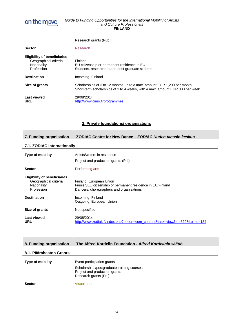

|                                                                                           | Research grants (Pub.)                                                                                                                                 |
|-------------------------------------------------------------------------------------------|--------------------------------------------------------------------------------------------------------------------------------------------------------|
| <b>Sector</b>                                                                             | Research                                                                                                                                               |
| <b>Eligibility of beneficiaries</b><br>Geographical criteria<br>Nationality<br>Profession | Finland<br>EU citizenship or permanent residence in EU<br>Students, researchers and post-graduate stidents                                             |
| <b>Destination</b>                                                                        | Incoming: Finland                                                                                                                                      |
| Size of grants                                                                            | Scholarships of 3 to 12 months up to a max. amount EUR 1,200 per month<br>Short-term scholarships of 1 to 4 weeks, with a max. amount EUR 300 per week |
| Last viewed<br><b>URL</b>                                                                 | 29/08/2014<br>http://www.cimo.fi/programmes                                                                                                            |

# **2. Private foundations/ organisations**

# **7. Funding organisation ZODIAC Centre for New Dance –** *ZODIAC Uuden tanssin keskus*

# **7.1. ZODIAC Internationally**

| <b>Type of mobility</b>                                                                   | Artists/writers in residence<br>Project and production grants (Pri.)                                                               |
|-------------------------------------------------------------------------------------------|------------------------------------------------------------------------------------------------------------------------------------|
| <b>Sector</b>                                                                             | Performing arts                                                                                                                    |
| <b>Eligibility of beneficiaries</b><br>Geographical criteria<br>Nationality<br>Profession | Finland; European Union<br>Finnish/EU citizenship or permanent residence in EU/Finland<br>Dancers, choregraphers and organisations |
| <b>Destination</b>                                                                        | Incoming: Finland<br>Outgoing: European Union                                                                                      |
| Size of grants                                                                            | Not specified                                                                                                                      |
| Last viewed<br><b>URL</b>                                                                 | 29/08/2014<br>http://www.zodiak.fi/index.php?option=com_content&task=view&id=829&Itemid=184                                        |

# **8. Funding organisation The Alfred Kordelin Foundation -** *Alfred Kordelinin säätiö*

## **8.1. Päärahaston Grants**

| <b>Type of mobility</b> | Event participation grants                                                                            |
|-------------------------|-------------------------------------------------------------------------------------------------------|
|                         | Scholarships/postgraduate training courses<br>Project and production grants<br>Research grants (Pri.) |
| <b>Sector</b>           | <b>Visual arts</b>                                                                                    |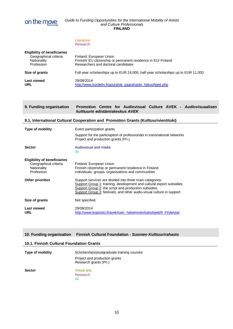

|                                                                                           | Literature<br>Research                                                                                                          |
|-------------------------------------------------------------------------------------------|---------------------------------------------------------------------------------------------------------------------------------|
| <b>Eligibility of beneficiaries</b><br>Geographical criteria<br>Nationality<br>Profession | Finland; European Union<br>Finnish/ EU citizenship or permanent residence in EU/ Finland<br>Researchers and doctoral candidates |
| Size of grants                                                                            | Full-year scholarships up to EUR 24,000, half-year scholarships up to EUR 11,000                                                |
| Last viewed<br><b>URL</b>                                                                 | 29/08/2014<br>http://www.kordelin.fi/apurahat paarahasto hakuohjeet.php                                                         |

| 9. Funding organisation                                                                   | Promotion Centre for Audiovisual Culture AVEK - Audiovisuaalisen<br>kulttuurin edistämiskeskus AVEK                                                                                                                                                               |  |
|-------------------------------------------------------------------------------------------|-------------------------------------------------------------------------------------------------------------------------------------------------------------------------------------------------------------------------------------------------------------------|--|
|                                                                                           | 9.1. International Cultural Cooperation and Promotion Grants (Kulttuurivientituki)                                                                                                                                                                                |  |
| Type of mobility                                                                          | Event participation grants                                                                                                                                                                                                                                        |  |
|                                                                                           | Support for the particiaption of professionals in transnational networks<br>Project and production grants (Pri.)                                                                                                                                                  |  |
| <b>Sector</b>                                                                             | Audiovisual and media<br>All                                                                                                                                                                                                                                      |  |
| <b>Eligibility of beneficiaries</b><br>Geographical criteria<br>Nationality<br>Profession | Finland; European Union<br>Finnish citizenship or permanent residence in Finland<br>Individuals, groups, organisations and communities                                                                                                                            |  |
| <b>Other priorities</b>                                                                   | Support services are divided into three main categories:<br>Support Group 1: training, development and cultural export subsidies<br>Support Group 2: the script and production subsidies<br>Support Group 3: festivals, and other audio-visual culture in support |  |
| Size of grants                                                                            | Not specified.                                                                                                                                                                                                                                                    |  |
| <b>Last viewed</b><br><b>URL</b>                                                          | 29/08/2014<br>http://www.kopiosto.fi/avek/tuen_hakeminen/tukiohjeet/fi_Fl/yleista/                                                                                                                                                                                |  |

# **10. Funding organisation Finnish Cultural Foundation -** *Suomen Kulttuurirahasto*

# **10.1. Finnish Cultural Foundation Grants**

| <b>Type of mobility</b> | Scholarships/postgraduate training courses              |
|-------------------------|---------------------------------------------------------|
|                         | Project and production grants<br>Research grants (Pri.) |
| <b>Sector</b>           | <b>Visual arts</b>                                      |
|                         | Research                                                |
|                         | All                                                     |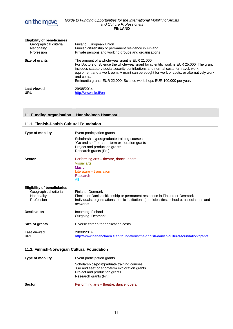

| <b>Eligibility of beneficiaries</b><br>Geographical criteria<br>Nationality<br>Profession | Finland, European Union<br>Finnish citizenship or permanent residence in Finland<br>Private persons and working groups and organisations                                                                                                                                                                                                                                                                           |
|-------------------------------------------------------------------------------------------|--------------------------------------------------------------------------------------------------------------------------------------------------------------------------------------------------------------------------------------------------------------------------------------------------------------------------------------------------------------------------------------------------------------------|
| Size of grants                                                                            | The amount of a whole-year grant is EUR 21,000<br>For Doctors of Science the whole-year grant for scientific work is EUR 25,000. The grant<br>includes statutory social security contributions and normal costs for travel, work<br>equipment and a workroom. A grant can be sought for work or costs, or alternatively work<br>and costs.<br>Eminentia grants EUR 22,000. Science workshops EUR 100,000 per year. |
| Last viewed<br><b>URL</b>                                                                 | 29/08/2014<br>http://www.skr.fi/en                                                                                                                                                                                                                                                                                                                                                                                 |

# **11. Funding organisation Hanaholmen Haamsari**

| 11.1. Finnish-Danish Cultural Foundation                                                  |                                                                                                                                                                                                           |  |
|-------------------------------------------------------------------------------------------|-----------------------------------------------------------------------------------------------------------------------------------------------------------------------------------------------------------|--|
| Type of mobility                                                                          | Event participation grants                                                                                                                                                                                |  |
|                                                                                           | Scholarships/postgraduate training courses<br>"Go and see" or short-term exploration grants<br>Project and production grants<br>Research grants (Pri.)                                                    |  |
| <b>Sector</b>                                                                             | Performing arts – theatre, dance, opera<br><b>Visual arts</b><br><b>Music</b><br>Literature - translation<br>Research<br>All                                                                              |  |
| <b>Eligibility of beneficiaries</b><br>Geographical criteria<br>Nationality<br>Profession | Finland: Denmark<br>Finnish or Danish citizenship or permanent residence in Finland or Denmark<br>Individuals, organisations, public institutions (municipalities, schools), associations and<br>networks |  |
| <b>Destination</b>                                                                        | Incoming: Finland<br>Outgoing: Denmark                                                                                                                                                                    |  |
| Size of grants                                                                            | Diverse criteria for application costs                                                                                                                                                                    |  |
| Last viewed<br><b>URL</b>                                                                 | 29/08/2014<br>http://www.hanaholmen.fi/en/foundations/the-finnish-danish-cultural-foundation/grants                                                                                                       |  |

# **11.2. Finnish-Norwegian Cultural Foundation**

| <b>Type of mobility</b> | Event participation grants                                                                                                                             |
|-------------------------|--------------------------------------------------------------------------------------------------------------------------------------------------------|
|                         | Scholarships/postgraduate training courses<br>"Go and see" or short-term exploration grants<br>Project and production grants<br>Research grants (Pri.) |
| <b>Sector</b>           | Performing arts - theatre, dance, opera                                                                                                                |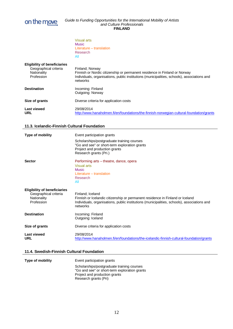

Visual arts Music Literature – translation Research All

| <b>Eligibility of beneficiaries</b> | Finland; Norway                                                                             |
|-------------------------------------|---------------------------------------------------------------------------------------------|
| Geographical criteria               | Finnish or Nordic citizenship or permanent residence in Finland or Norway                   |
| Nationality                         | Individuals, organisations, public institutions (municipalities, schools), associations and |
| Profession                          | networks                                                                                    |
| <b>Destination</b>                  | Incoming: Finland<br>Outgoing: Norway                                                       |
| Size of grants                      | Diverse criteria for application costs                                                      |
| <b>Last viewed</b>                  | 29/08/2014                                                                                  |
| URL                                 | http://www.hanaholmen.fi/en/foundations/the-finnish-norwegian-cultural-foundation/grants    |

# **11.3. Icelandic-Finnish Cultural Foundation**

| Type of mobility                                                                          | Event participation grants                                                                                                                                                                                   |
|-------------------------------------------------------------------------------------------|--------------------------------------------------------------------------------------------------------------------------------------------------------------------------------------------------------------|
|                                                                                           | Scholarships/postgraduate training courses<br>"Go and see" or short-term exploration grants<br>Project and production grants<br>Research grants (Pri.)                                                       |
| <b>Sector</b>                                                                             | Performing arts – theatre, dance, opera<br>Visual arts<br><b>Music</b><br>Literature – translation<br>Research<br>All                                                                                        |
| <b>Eligibility of beneficiaries</b><br>Geographical criteria<br>Nationality<br>Profession | Finland; Iceland<br>Finnish or Icelandic citizenship or permanent residence in Finland or Iceland<br>Individuals, organisations, public institutions (municipalities, schools), associations and<br>networks |
| <b>Destination</b>                                                                        | Incoming: Finland<br>Outgoing: Iceland                                                                                                                                                                       |
| Size of grants                                                                            | Diverse criteria for application costs                                                                                                                                                                       |
| <b>Last viewed</b><br><b>URL</b>                                                          | 29/08/2014<br>http://www.hanaholmen.fi/en/foundations/the-icelandic-finnish-cultural-foundation/grants                                                                                                       |

# **11.4. Swedish-Finnish Cultural Foundation**

| <b>Type of mobility</b> | Event participation grants                                                                                                                            |
|-------------------------|-------------------------------------------------------------------------------------------------------------------------------------------------------|
|                         | Scholarships/postgraduate training courses<br>"Go and see" or short-term exploration grants<br>Project and production grants<br>Research grants (Pri) |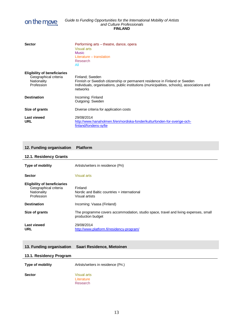

| <b>Sector</b>                                                                             | Performing arts – theatre, dance, opera<br><b>Visual arts</b><br><b>Music</b>                                                                                                                            |
|-------------------------------------------------------------------------------------------|----------------------------------------------------------------------------------------------------------------------------------------------------------------------------------------------------------|
|                                                                                           | Literature - translation<br>Research<br>All                                                                                                                                                              |
| <b>Eligibility of beneficiaries</b><br>Geographical criteria<br>Nationality<br>Profession | Finland: Sweden<br>Finnish or Swedish citizenship or permanent residence in Finland or Sweden<br>Individuals, organisations, public institutions (municipalities, schools), associations and<br>networks |
| <b>Destination</b>                                                                        | Incoming: Finland<br>Outgoing: Sweden                                                                                                                                                                    |
| Size of grants                                                                            | Diverse criteria for application costs                                                                                                                                                                   |
| Last viewed<br><b>URL</b>                                                                 | 29/08/2014<br>http://www.hanaholmen.fi/en/nordiska-fonder/kulturfonden-for-sverige-och-<br>finland/fondens-syfte                                                                                         |

# **12. Funding organisation Platform**

# **12.1. Residency Grants**

| <b>Type of mobility</b>                                                                   | Artists/writers in residence (Pri)                                                                       |
|-------------------------------------------------------------------------------------------|----------------------------------------------------------------------------------------------------------|
| <b>Sector</b>                                                                             | <b>Visual arts</b>                                                                                       |
| <b>Eligibility of beneficiaries</b><br>Geographical criteria<br>Nationality<br>Profession | Finland<br>Nordic and Baltic countries + international<br>Visual artists                                 |
| <b>Destination</b>                                                                        | Incoming: Vaasa (Finland)                                                                                |
| Size of grants                                                                            | The programme covers accommodation, studio space, travel and living expenses, small<br>production budget |
| <b>Last viewed</b><br><b>URL</b>                                                          | 29/08/2014<br>http://www.platform.fi/residency-program/                                                  |

# **13. Funding organisation Saari Residence, Mietoinen**

# **13.1. Residency Program**

**Type of mobility** Artists/writers in residence (Pri.) **Sector** Visual arts **Literature** 

Research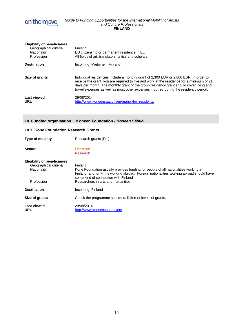

| <b>Eligibility of beneficiaries</b><br>Geographical criteria<br>Nationality<br>Profession | Finland<br>EU citizenship or permanent residence in EU<br>All fields of art, translators, critics and scholars                                                                                                                                                                                                                                                       |
|-------------------------------------------------------------------------------------------|----------------------------------------------------------------------------------------------------------------------------------------------------------------------------------------------------------------------------------------------------------------------------------------------------------------------------------------------------------------------|
| <b>Destination</b>                                                                        | Incoming: Mietoinen (Finland)                                                                                                                                                                                                                                                                                                                                        |
| Size of grants                                                                            | Individual residencies include a monthly grant of 2,300 EUR or 2,600 EUR. In order to<br>receive the grant, you are required to live and work at the residence for a minimum of 21<br>days per month. The monthly grant or the group residency grant should cover living and<br>travel expenses as well as most other expenses incurred during the residency period. |
| <b>Last viewed</b><br><b>URL</b>                                                          | 29/08/2014<br>http://www.koneensaatio.fi/en/manor/for residents/                                                                                                                                                                                                                                                                                                     |

# **14. Funding organisation Koneen Foundation -** *Koneen Säätiö*

# **14.1. Kone Foundation Research Grants**

| <b>Type of mobility</b>                                                                   | Research grants (Pri.)                                                                                                                                                                                                                                                   |
|-------------------------------------------------------------------------------------------|--------------------------------------------------------------------------------------------------------------------------------------------------------------------------------------------------------------------------------------------------------------------------|
| <b>Sector</b>                                                                             | Literature<br>Research                                                                                                                                                                                                                                                   |
| <b>Eligibility of beneficiaries</b><br>Geographical criteria<br>Nationality<br>Profession | Finland<br>Kone Foundation usually provides funding for people of all nationalities working in<br>Finland, and for Finns working abroad. Foreign nationalities working abroad should have<br>some kind of connection with Finland.<br>Researchers in arts and humanities |
| <b>Destination</b>                                                                        | Incoming: Finland                                                                                                                                                                                                                                                        |
| Size of grants                                                                            | Check the programme schemes. Different levels of grants.                                                                                                                                                                                                                 |
| <b>Last viewed</b><br>URL                                                                 | 29/08/2014<br>http://www.koneensaatio.fi/en/                                                                                                                                                                                                                             |